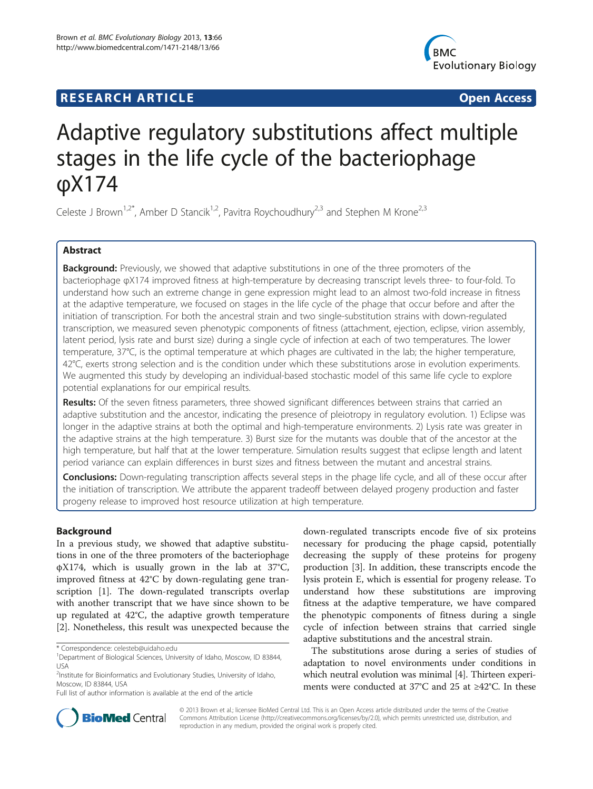## **RESEARCH ARTICLE Example 2014 CONSUMING A RESEARCH ARTICLE**



# Adaptive regulatory substitutions affect multiple stages in the life cycle of the bacteriophage φX174

Celeste J Brown<sup>1,2\*</sup>, Amber D Stancik<sup>1,2</sup>, Pavitra Roychoudhury<sup>2,3</sup> and Stephen M Krone<sup>2,3</sup>

## Abstract

Background: Previously, we showed that adaptive substitutions in one of the three promoters of the bacteriophage φX174 improved fitness at high-temperature by decreasing transcript levels three- to four-fold. To understand how such an extreme change in gene expression might lead to an almost two-fold increase in fitness at the adaptive temperature, we focused on stages in the life cycle of the phage that occur before and after the initiation of transcription. For both the ancestral strain and two single-substitution strains with down-regulated transcription, we measured seven phenotypic components of fitness (attachment, ejection, eclipse, virion assembly, latent period, lysis rate and burst size) during a single cycle of infection at each of two temperatures. The lower temperature, 37°C, is the optimal temperature at which phages are cultivated in the lab; the higher temperature, 42°C, exerts strong selection and is the condition under which these substitutions arose in evolution experiments. We augmented this study by developing an individual-based stochastic model of this same life cycle to explore potential explanations for our empirical results.

Results: Of the seven fitness parameters, three showed significant differences between strains that carried an adaptive substitution and the ancestor, indicating the presence of pleiotropy in regulatory evolution. 1) Eclipse was longer in the adaptive strains at both the optimal and high-temperature environments. 2) Lysis rate was greater in the adaptive strains at the high temperature. 3) Burst size for the mutants was double that of the ancestor at the high temperature, but half that at the lower temperature. Simulation results suggest that eclipse length and latent period variance can explain differences in burst sizes and fitness between the mutant and ancestral strains.

**Conclusions:** Down-regulating transcription affects several steps in the phage life cycle, and all of these occur after the initiation of transcription. We attribute the apparent tradeoff between delayed progeny production and faster progeny release to improved host resource utilization at high temperature.

## Background

In a previous study, we showed that adaptive substitutions in one of the three promoters of the bacteriophage φX174, which is usually grown in the lab at 37°C, improved fitness at 42°C by down-regulating gene transcription [[1\]](#page-11-0). The down-regulated transcripts overlap with another transcript that we have since shown to be up regulated at 42°C, the adaptive growth temperature [[2\]](#page-11-0). Nonetheless, this result was unexpected because the down-regulated transcripts encode five of six proteins necessary for producing the phage capsid, potentially decreasing the supply of these proteins for progeny production [[3\]](#page-11-0). In addition, these transcripts encode the lysis protein E, which is essential for progeny release. To understand how these substitutions are improving fitness at the adaptive temperature, we have compared the phenotypic components of fitness during a single cycle of infection between strains that carried single adaptive substitutions and the ancestral strain.

The substitutions arose during a series of studies of adaptation to novel environments under conditions in which neutral evolution was minimal [\[4\]](#page-11-0). Thirteen experiments were conducted at 37°C and 25 at ≥42°C. In these



© 2013 Brown et al.; licensee BioMed Central Ltd. This is an Open Access article distributed under the terms of the Creative Commons Attribution License [\(http://creativecommons.org/licenses/by/2.0\)](http://creativecommons.org/licenses/by/2.0), which permits unrestricted use, distribution, and reproduction in any medium, provided the original work is properly cited.

<sup>\*</sup> Correspondence: [celesteb@uidaho.edu](mailto:celesteb@uidaho.edu) <sup>1</sup>

<sup>&</sup>lt;sup>1</sup>Department of Biological Sciences, University of Idaho, Moscow, ID 83844, USA

<sup>&</sup>lt;sup>2</sup>Institute for Bioinformatics and Evolutionary Studies, University of Idaho, Moscow, ID 83844, USA

Full list of author information is available at the end of the article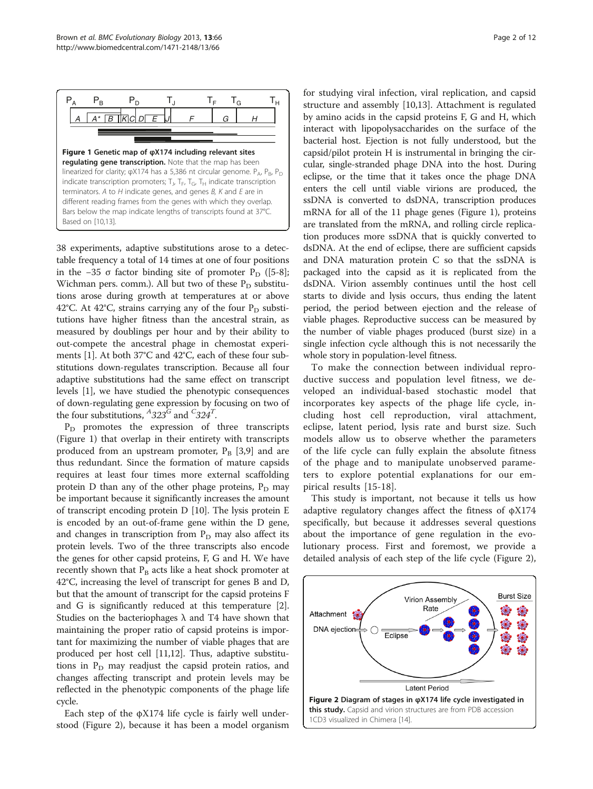<span id="page-1-0"></span>

38 experiments, adaptive substitutions arose to a detectable frequency a total of 14 times at one of four positions in the −35  $\sigma$  factor binding site of promoter P<sub>D</sub> ([\[5](#page-11-0)-[8](#page-11-0)]; Wichman pers. comm.). All but two of these  $P_D$  substitutions arose during growth at temperatures at or above 42°C. At 42°C, strains carrying any of the four  $P_D$  substitutions have higher fitness than the ancestral strain, as measured by doublings per hour and by their ability to out-compete the ancestral phage in chemostat experiments [\[1](#page-11-0)]. At both 37°C and 42°C, each of these four substitutions down-regulates transcription. Because all four adaptive substitutions had the same effect on transcript levels [[1](#page-11-0)], we have studied the phenotypic consequences of down-regulating gene expression by focusing on two of the four substitutions,  $^{A}323^{G}$  and  $^{C}324^{T}$ .

P<sub>D</sub> promotes the expression of three transcripts (Figure 1) that overlap in their entirety with transcripts produced from an upstream promoter,  $P_B$  [[3,9\]](#page-11-0) and are thus redundant. Since the formation of mature capsids requires at least four times more external scaffolding protein D than any of the other phage proteins,  $P_D$  may be important because it significantly increases the amount of transcript encoding protein D [\[10](#page-11-0)]. The lysis protein E is encoded by an out-of-frame gene within the D gene, and changes in transcription from  $P_D$  may also affect its protein levels. Two of the three transcripts also encode the genes for other capsid proteins, F, G and H. We have recently shown that  $P_B$  acts like a heat shock promoter at 42°C, increasing the level of transcript for genes B and D, but that the amount of transcript for the capsid proteins F and G is significantly reduced at this temperature [[2](#page-11-0)]. Studies on the bacteriophages  $\lambda$  and T4 have shown that maintaining the proper ratio of capsid proteins is important for maximizing the number of viable phages that are produced per host cell [\[11,12\]](#page-11-0). Thus, adaptive substitutions in  $P_D$  may readjust the capsid protein ratios, and changes affecting transcript and protein levels may be reflected in the phenotypic components of the phage life cycle.

Each step of the  $\phi$ X174 life cycle is fairly well understood (Figure 2), because it has been a model organism for studying viral infection, viral replication, and capsid structure and assembly [[10](#page-11-0),[13](#page-11-0)]. Attachment is regulated by amino acids in the capsid proteins F, G and H, which interact with lipopolysaccharides on the surface of the bacterial host. Ejection is not fully understood, but the capsid/pilot protein H is instrumental in bringing the circular, single-stranded phage DNA into the host. During eclipse, or the time that it takes once the phage DNA enters the cell until viable virions are produced, the ssDNA is converted to dsDNA, transcription produces mRNA for all of the 11 phage genes (Figure 1), proteins are translated from the mRNA, and rolling circle replication produces more ssDNA that is quickly converted to dsDNA. At the end of eclipse, there are sufficient capsids and DNA maturation protein C so that the ssDNA is packaged into the capsid as it is replicated from the dsDNA. Virion assembly continues until the host cell starts to divide and lysis occurs, thus ending the latent period, the period between ejection and the release of viable phages. Reproductive success can be measured by the number of viable phages produced (burst size) in a single infection cycle although this is not necessarily the whole story in population-level fitness.

To make the connection between individual reproductive success and population level fitness, we developed an individual-based stochastic model that incorporates key aspects of the phage life cycle, including host cell reproduction, viral attachment, eclipse, latent period, lysis rate and burst size. Such models allow us to observe whether the parameters of the life cycle can fully explain the absolute fitness of the phage and to manipulate unobserved parameters to explore potential explanations for our empirical results [\[15](#page-11-0)-[18\]](#page-11-0).

This study is important, not because it tells us how adaptive regulatory changes affect the fitness of φX174 specifically, but because it addresses several questions about the importance of gene regulation in the evolutionary process. First and foremost, we provide a detailed analysis of each step of the life cycle (Figure 2),

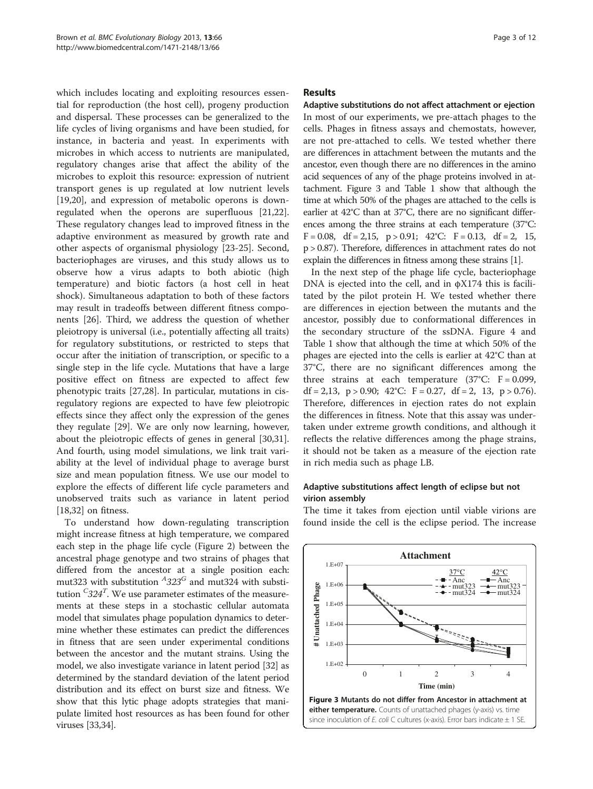which includes locating and exploiting resources essential for reproduction (the host cell), progeny production and dispersal. These processes can be generalized to the life cycles of living organisms and have been studied, for instance, in bacteria and yeast. In experiments with microbes in which access to nutrients are manipulated, regulatory changes arise that affect the ability of the microbes to exploit this resource: expression of nutrient transport genes is up regulated at low nutrient levels [[19,20\]](#page-11-0), and expression of metabolic operons is downregulated when the operons are superfluous [\[21,22](#page-11-0)]. These regulatory changes lead to improved fitness in the adaptive environment as measured by growth rate and other aspects of organismal physiology [\[23](#page-11-0)-[25\]](#page-11-0). Second, bacteriophages are viruses, and this study allows us to observe how a virus adapts to both abiotic (high temperature) and biotic factors (a host cell in heat shock). Simultaneous adaptation to both of these factors may result in tradeoffs between different fitness components [[26\]](#page-11-0). Third, we address the question of whether pleiotropy is universal (i.e., potentially affecting all traits) for regulatory substitutions, or restricted to steps that occur after the initiation of transcription, or specific to a single step in the life cycle. Mutations that have a large positive effect on fitness are expected to affect few phenotypic traits [[27,28\]](#page-11-0). In particular, mutations in cisregulatory regions are expected to have few pleiotropic effects since they affect only the expression of the genes they regulate [[29\]](#page-11-0). We are only now learning, however, about the pleiotropic effects of genes in general [\[30,31](#page-11-0)]. And fourth, using model simulations, we link trait variability at the level of individual phage to average burst size and mean population fitness. We use our model to explore the effects of different life cycle parameters and unobserved traits such as variance in latent period [[18,32\]](#page-11-0) on fitness.

To understand how down-regulating transcription might increase fitness at high temperature, we compared each step in the phage life cycle (Figure [2](#page-1-0)) between the ancestral phage genotype and two strains of phages that differed from the ancestor at a single position each: mut323 with substitution  $^{A}323^{G}$  and mut324 with substitution  ${}^{C}\!324^T$ . We use parameter estimates of the measurements at these steps in a stochastic cellular automata model that simulates phage population dynamics to determine whether these estimates can predict the differences in fitness that are seen under experimental conditions between the ancestor and the mutant strains. Using the model, we also investigate variance in latent period [[32](#page-11-0)] as determined by the standard deviation of the latent period distribution and its effect on burst size and fitness. We show that this lytic phage adopts strategies that manipulate limited host resources as has been found for other viruses [[33,34](#page-11-0)].

### Results

Adaptive substitutions do not affect attachment or ejection In most of our experiments, we pre-attach phages to the cells. Phages in fitness assays and chemostats, however, are not pre-attached to cells. We tested whether there are differences in attachment between the mutants and the ancestor, even though there are no differences in the amino acid sequences of any of the phage proteins involved in attachment. Figure 3 and Table [1](#page-3-0) show that although the time at which 50% of the phages are attached to the cells is earlier at 42°C than at 37°C, there are no significant differences among the three strains at each temperature (37°C:  $F = 0.08$ ,  $df = 2.15$ ,  $p > 0.91$ ;  $42^{\circ}C$ :  $F = 0.13$ ,  $df = 2$ , 15, p > 0.87). Therefore, differences in attachment rates do not explain the differences in fitness among these strains [[1](#page-11-0)].

In the next step of the phage life cycle, bacteriophage DNA is ejected into the cell, and in  $\phi$ X174 this is facilitated by the pilot protein H. We tested whether there are differences in ejection between the mutants and the ancestor, possibly due to conformational differences in the secondary structure of the ssDNA. Figure [4](#page-3-0) and Table [1](#page-3-0) show that although the time at which 50% of the phages are ejected into the cells is earlier at 42°C than at 37°C, there are no significant differences among the three strains at each temperature  $(37^{\circ}C: F = 0.099,$ df = 2,13, p > 0.90; 42°C:  $F = 0.27$ , df = 2, 13, p > 0.76). Therefore, differences in ejection rates do not explain the differences in fitness. Note that this assay was undertaken under extreme growth conditions, and although it reflects the relative differences among the phage strains, it should not be taken as a measure of the ejection rate in rich media such as phage LB.

## Adaptive substitutions affect length of eclipse but not virion assembly

The time it takes from ejection until viable virions are found inside the cell is the eclipse period. The increase

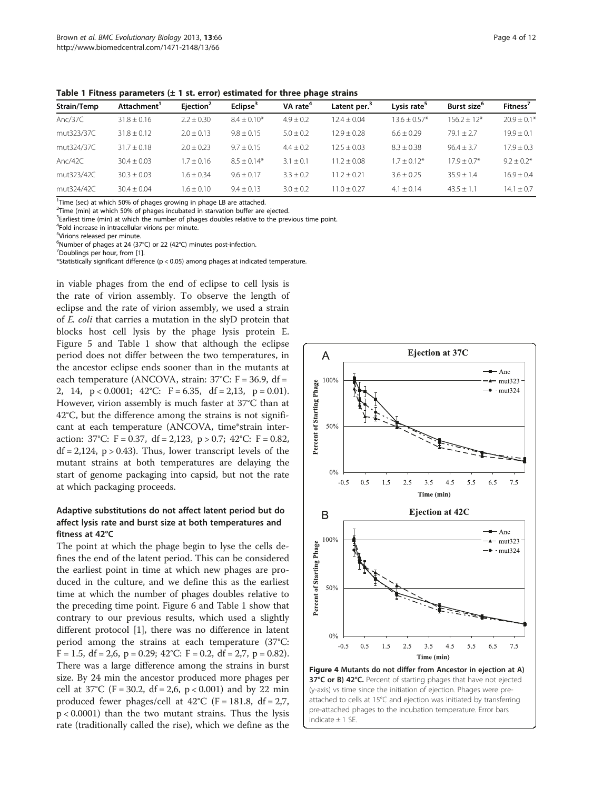<span id="page-3-0"></span>Table 1 Fitness parameters  $(\pm 1$  st. error) estimated for three phage strains

| Strain/Temp | Attachment <sup>1</sup> | Eiection <sup>2</sup> | Eclipse <sup>3</sup> | VA rate <sup>4</sup> | Latent per. <sup>3</sup> | Lysis rate <sup>5</sup> | Burst size <sup>6</sup> | Fitness <sup>7</sup> |
|-------------|-------------------------|-----------------------|----------------------|----------------------|--------------------------|-------------------------|-------------------------|----------------------|
| Anc/37C     | $31.8 + 0.16$           | $2.2 + 0.30$          | $8.4 + 0.10*$        | $4.9 + 0.2$          | $12.4 + 0.04$            | $13.6 + 0.57*$          | $156.2 + 12*$           | $20.9 + 0.1*$        |
| mut323/37C  | $31.8 + 0.12$           | $2.0 \pm 0.13$        | $9.8 + 0.15$         | $5.0 + 0.2$          | $12.9 + 0.28$            | $6.6 + 0.29$            | $79.1 + 2.7$            | $19.9 + 0.1$         |
| mut324/37C  | $31.7 + 0.18$           | $2.0 + 0.23$          | $9.7 + 0.15$         | $4.4 + 0.2$          | $12.5 + 0.03$            | $8.3 + 0.38$            | $96.4 + 3.7$            | $17.9 \pm 0.3$       |
| Anc/42C     | $30.4 + 0.03$           | $1.7 + 0.16$          | $8.5 + 0.14*$        | $3.1 + 0.1$          | $11.2 + 0.08$            | $1.7 + 0.12*$           | $17.9 + 0.7*$           | $9.2 + 0.2*$         |
| mut323/42C  | $30.3 + 0.03$           | $1.6 + 0.34$          | $9.6 + 0.17$         | $3.3 + 0.2$          | $11.2 + 0.21$            | $3.6 + 0.25$            | $35.9 + 1.4$            | $16.9 + 0.4$         |
| mut324/42C  | $30.4 + 0.04$           | $1.6 \pm 0.10$        | $9.4 + 0.13$         | $3.0 + 0.2$          | $11.0 + 0.27$            | $4.1 + 0.14$            | $43.5 + 1.1$            | $14.1 \pm 0.7$       |

<sup>1</sup>Time (sec) at which 50% of phages growing in phage LB are attached.

 $2$ Time (min) at which 50% of phages incubated in starvation buffer are ejected.

 $3$ Earliest time (min) at which the number of phages doubles relative to the previous time point.

4 Fold increase in intracellular virions per minute. <sup>5</sup>Virions released per minute.

 $^6$ Number of phages at 24 (37 $^{\circ}$ C) or 22 (42 $^{\circ}$ C) minutes post-infection.

7 Doublings per hour, from [\[1\]](#page-11-0).

\*Statistically significant difference (p < 0.05) among phages at indicated temperature.

in viable phages from the end of eclipse to cell lysis is the rate of virion assembly. To observe the length of eclipse and the rate of virion assembly, we used a strain of E. coli that carries a mutation in the slyD protein that blocks host cell lysis by the phage lysis protein E. Figure [5](#page-4-0) and Table 1 show that although the eclipse period does not differ between the two temperatures, in the ancestor eclipse ends sooner than in the mutants at each temperature (ANCOVA, strain:  $37^{\circ}$ C: F = 36.9, df = 2, 14,  $p < 0.0001$ ; 42°C:  $F = 6.35$ , df = 2,13,  $p = 0.01$ ). However, virion assembly is much faster at 37°C than at 42°C, but the difference among the strains is not significant at each temperature (ANCOVA, time\*strain interaction:  $37^{\circ}$ C: F = 0.37, df = 2,123, p > 0.7; 42 $^{\circ}$ C: F = 0.82,  $df = 2,124$ ,  $p > 0.43$ ). Thus, lower transcript levels of the mutant strains at both temperatures are delaying the start of genome packaging into capsid, but not the rate at which packaging proceeds.

### Adaptive substitutions do not affect latent period but do affect lysis rate and burst size at both temperatures and fitness at 42°C

The point at which the phage begin to lyse the cells defines the end of the latent period. This can be considered the earliest point in time at which new phages are produced in the culture, and we define this as the earliest time at which the number of phages doubles relative to the preceding time point. Figure [6](#page-4-0) and Table 1 show that contrary to our previous results, which used a slightly different protocol [\[1](#page-11-0)], there was no difference in latent period among the strains at each temperature (37°C:  $F = 1.5$ , df = 2,6, p = 0.29; 42°C: F = 0.2, df = 2,7, p = 0.82). There was a large difference among the strains in burst size. By 24 min the ancestor produced more phages per cell at 37°C (F = 30.2, df = 2,6, p < 0.001) and by 22 min produced fewer phages/cell at  $42^{\circ}$ C (F = 181.8, df = 2,7, p < 0.0001) than the two mutant strains. Thus the lysis rate (traditionally called the rise), which we define as the

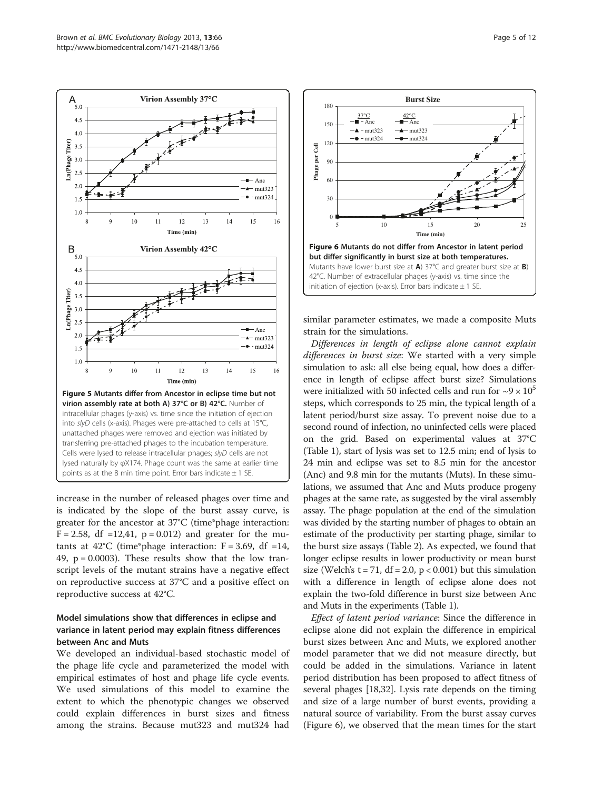<span id="page-4-0"></span>

increase in the number of released phages over time and is indicated by the slope of the burst assay curve, is greater for the ancestor at 37°C (time\*phage interaction:  $F = 2.58$ , df  $= 12.41$ ,  $p = 0.012$ ) and greater for the mutants at  $42^{\circ}$ C (time\*phage interaction: F = 3.69, df = 14, 49,  $p = 0.0003$ ). These results show that the low transcript levels of the mutant strains have a negative effect on reproductive success at 37°C and a positive effect on reproductive success at 42°C.

## Model simulations show that differences in eclipse and variance in latent period may explain fitness differences between Anc and Muts

We developed an individual-based stochastic model of the phage life cycle and parameterized the model with empirical estimates of host and phage life cycle events. We used simulations of this model to examine the extent to which the phenotypic changes we observed could explain differences in burst sizes and fitness among the strains. Because mut323 and mut324 had



similar parameter estimates, we made a composite Muts strain for the simulations.

Differences in length of eclipse alone cannot explain differences in burst size: We started with a very simple simulation to ask: all else being equal, how does a difference in length of eclipse affect burst size? Simulations were initialized with 50 infected cells and run for  $\sim$ 9 × 10<sup>5</sup> steps, which corresponds to 25 min, the typical length of a latent period/burst size assay. To prevent noise due to a second round of infection, no uninfected cells were placed on the grid. Based on experimental values at 37°C (Table [1](#page-3-0)), start of lysis was set to 12.5 min; end of lysis to 24 min and eclipse was set to 8.5 min for the ancestor (Anc) and 9.8 min for the mutants (Muts). In these simulations, we assumed that Anc and Muts produce progeny phages at the same rate, as suggested by the viral assembly assay. The phage population at the end of the simulation was divided by the starting number of phages to obtain an estimate of the productivity per starting phage, similar to the burst size assays (Table [2\)](#page-5-0). As expected, we found that longer eclipse results in lower productivity or mean burst size (Welch's  $t = 71$ ,  $df = 2.0$ ,  $p < 0.001$ ) but this simulation with a difference in length of eclipse alone does not explain the two-fold difference in burst size between Anc and Muts in the experiments (Table [1\)](#page-3-0).

Effect of latent period variance: Since the difference in eclipse alone did not explain the difference in empirical burst sizes between Anc and Muts, we explored another model parameter that we did not measure directly, but could be added in the simulations. Variance in latent period distribution has been proposed to affect fitness of several phages [[18,32](#page-11-0)]. Lysis rate depends on the timing and size of a large number of burst events, providing a natural source of variability. From the burst assay curves (Figure 6), we observed that the mean times for the start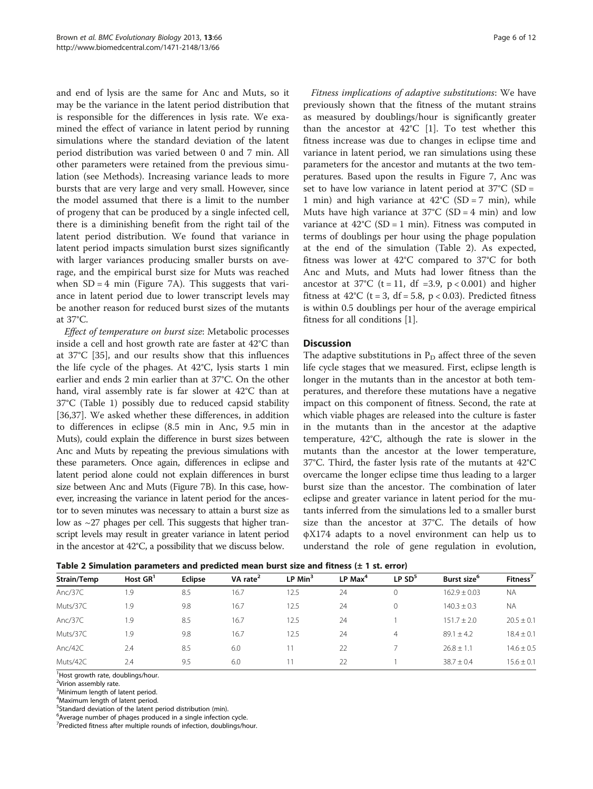<span id="page-5-0"></span>and end of lysis are the same for Anc and Muts, so it may be the variance in the latent period distribution that is responsible for the differences in lysis rate. We examined the effect of variance in latent period by running simulations where the standard deviation of the latent period distribution was varied between 0 and 7 min. All other parameters were retained from the previous simulation (see [Methods\)](#page-8-0). Increasing variance leads to more bursts that are very large and very small. However, since the model assumed that there is a limit to the number of progeny that can be produced by a single infected cell, there is a diminishing benefit from the right tail of the latent period distribution. We found that variance in latent period impacts simulation burst sizes significantly with larger variances producing smaller bursts on average, and the empirical burst size for Muts was reached when  $SD = 4$  min (Figure [7A](#page-6-0)). This suggests that variance in latent period due to lower transcript levels may be another reason for reduced burst sizes of the mutants at 37°C.

Effect of temperature on burst size: Metabolic processes inside a cell and host growth rate are faster at 42°C than at 37°C [\[35](#page-11-0)], and our results show that this influences the life cycle of the phages. At 42°C, lysis starts 1 min earlier and ends 2 min earlier than at 37°C. On the other hand, viral assembly rate is far slower at 42°C than at 37°C (Table [1](#page-3-0)) possibly due to reduced capsid stability [[36,37\]](#page-11-0). We asked whether these differences, in addition to differences in eclipse (8.5 min in Anc, 9.5 min in Muts), could explain the difference in burst sizes between Anc and Muts by repeating the previous simulations with these parameters. Once again, differences in eclipse and latent period alone could not explain differences in burst size between Anc and Muts (Figure [7](#page-6-0)B). In this case, however, increasing the variance in latent period for the ancestor to seven minutes was necessary to attain a burst size as low as  $\sim$ 27 phages per cell. This suggests that higher transcript levels may result in greater variance in latent period in the ancestor at 42°C, a possibility that we discuss below.

Fitness implications of adaptive substitutions: We have previously shown that the fitness of the mutant strains as measured by doublings/hour is significantly greater than the ancestor at  $42^{\circ}C$  [\[1](#page-11-0)]. To test whether this fitness increase was due to changes in eclipse time and variance in latent period, we ran simulations using these parameters for the ancestor and mutants at the two temperatures. Based upon the results in Figure [7](#page-6-0), Anc was set to have low variance in latent period at  $37^{\circ}$ C (SD = 1 min) and high variance at  $42^{\circ}$ C (SD = 7 min), while Muts have high variance at  $37^{\circ}$ C (SD = 4 min) and low variance at  $42^{\circ}$ C (SD = 1 min). Fitness was computed in terms of doublings per hour using the phage population at the end of the simulation (Table 2). As expected, fitness was lower at 42°C compared to 37°C for both Anc and Muts, and Muts had lower fitness than the ancestor at 37°C (t = 11, df = 3.9, p < 0.001) and higher fitness at  $42^{\circ}C$  (t = 3, df = 5.8, p < 0.03). Predicted fitness is within 0.5 doublings per hour of the average empirical fitness for all conditions [[1](#page-11-0)].

#### **Discussion**

The adaptive substitutions in  $P_D$  affect three of the seven life cycle stages that we measured. First, eclipse length is longer in the mutants than in the ancestor at both temperatures, and therefore these mutations have a negative impact on this component of fitness. Second, the rate at which viable phages are released into the culture is faster in the mutants than in the ancestor at the adaptive temperature, 42°C, although the rate is slower in the mutants than the ancestor at the lower temperature, 37°C. Third, the faster lysis rate of the mutants at 42°C overcame the longer eclipse time thus leading to a larger burst size than the ancestor. The combination of later eclipse and greater variance in latent period for the mutants inferred from the simulations led to a smaller burst size than the ancestor at 37°C. The details of how φX174 adapts to a novel environment can help us to understand the role of gene regulation in evolution,

|  |  |  | Table 2 Simulation parameters and predicted mean burst size and fitness ( $\pm$ 1 st. error) |  |
|--|--|--|----------------------------------------------------------------------------------------------|--|
|--|--|--|----------------------------------------------------------------------------------------------|--|

| Strain/Temp | Host $GR1$ | Eclipse | VA rate <sup>2</sup> | $LP$ Min <sup>3</sup> | $LP$ Max <sup>4</sup> | LPSD <sup>5</sup> | Burst size <sup>6</sup> | Fitness <sup>'</sup> |
|-------------|------------|---------|----------------------|-----------------------|-----------------------|-------------------|-------------------------|----------------------|
| Anc/37 $C$  | 1.9        | 8.5     | 16.7                 | 12.5                  | 24                    |                   | $162.9 \pm 0.03$        | <b>NA</b>            |
| Muts/37C    | 1.9        | 9.8     | 16.7                 | 12.5                  | 24                    | $\Omega$          | $140.3 \pm 0.3$         | <b>NA</b>            |
| Anc/37 $C$  | 1.9        | 8.5     | 16.7                 | 12.5                  | 24                    |                   | $151.7 + 2.0$           | $20.5 \pm 0.1$       |
| Muts/37C    | 1.9        | 9.8     | 16.7                 | 12.5                  | 24                    | 4                 | $89.1 \pm 4.2$          | $18.4 \pm 0.1$       |
| Anc/42 $C$  | 2.4        | 8.5     | 6.0                  | $\overline{1}$        | 22                    |                   | $26.8 \pm 1.1$          | $14.6 \pm 0.5$       |
| Muts/42C    | 2.4        | 9.5     | 6.0                  | 11                    | 22                    |                   | $38.7 + 0.4$            | $15.6 \pm 0.1$       |

<sup>1</sup> Host growth rate, doublings/hour.

<sup>2</sup>Virion assembly rate.

<sup>3</sup>Minimum length of latent period.

4 Maximum length of latent period.

<sup>5</sup>Standard deviation of the latent period distribution (min).

<sup>6</sup> Average number of phages produced in a single infection cycle.

<sup>7</sup> Predicted fitness after multiple rounds of infection, doublings/hour.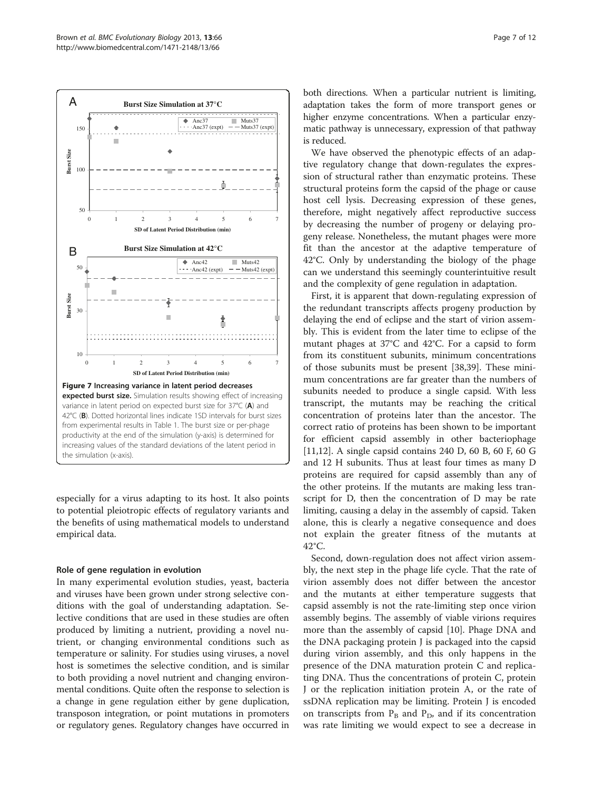<span id="page-6-0"></span>

especially for a virus adapting to its host. It also points to potential pleiotropic effects of regulatory variants and the benefits of using mathematical models to understand empirical data.

#### Role of gene regulation in evolution

In many experimental evolution studies, yeast, bacteria and viruses have been grown under strong selective conditions with the goal of understanding adaptation. Selective conditions that are used in these studies are often produced by limiting a nutrient, providing a novel nutrient, or changing environmental conditions such as temperature or salinity. For studies using viruses, a novel host is sometimes the selective condition, and is similar to both providing a novel nutrient and changing environmental conditions. Quite often the response to selection is a change in gene regulation either by gene duplication, transposon integration, or point mutations in promoters or regulatory genes. Regulatory changes have occurred in

both directions. When a particular nutrient is limiting, adaptation takes the form of more transport genes or higher enzyme concentrations. When a particular enzymatic pathway is unnecessary, expression of that pathway is reduced.

We have observed the phenotypic effects of an adaptive regulatory change that down-regulates the expression of structural rather than enzymatic proteins. These structural proteins form the capsid of the phage or cause host cell lysis. Decreasing expression of these genes, therefore, might negatively affect reproductive success by decreasing the number of progeny or delaying progeny release. Nonetheless, the mutant phages were more fit than the ancestor at the adaptive temperature of 42°C. Only by understanding the biology of the phage can we understand this seemingly counterintuitive result and the complexity of gene regulation in adaptation.

First, it is apparent that down-regulating expression of the redundant transcripts affects progeny production by delaying the end of eclipse and the start of virion assembly. This is evident from the later time to eclipse of the mutant phages at 37°C and 42°C. For a capsid to form from its constituent subunits, minimum concentrations of those subunits must be present [[38](#page-11-0),[39](#page-11-0)]. These minimum concentrations are far greater than the numbers of subunits needed to produce a single capsid. With less transcript, the mutants may be reaching the critical concentration of proteins later than the ancestor. The correct ratio of proteins has been shown to be important for efficient capsid assembly in other bacteriophage [[11,12\]](#page-11-0). A single capsid contains 240 D, 60 B, 60 F, 60 G and 12 H subunits. Thus at least four times as many D proteins are required for capsid assembly than any of the other proteins. If the mutants are making less transcript for D, then the concentration of D may be rate limiting, causing a delay in the assembly of capsid. Taken alone, this is clearly a negative consequence and does not explain the greater fitness of the mutants at 42°C.

Second, down-regulation does not affect virion assembly, the next step in the phage life cycle. That the rate of virion assembly does not differ between the ancestor and the mutants at either temperature suggests that capsid assembly is not the rate-limiting step once virion assembly begins. The assembly of viable virions requires more than the assembly of capsid [[10\]](#page-11-0). Phage DNA and the DNA packaging protein J is packaged into the capsid during virion assembly, and this only happens in the presence of the DNA maturation protein C and replicating DNA. Thus the concentrations of protein C, protein J or the replication initiation protein A, or the rate of ssDNA replication may be limiting. Protein J is encoded on transcripts from  $P_B$  and  $P_D$ , and if its concentration was rate limiting we would expect to see a decrease in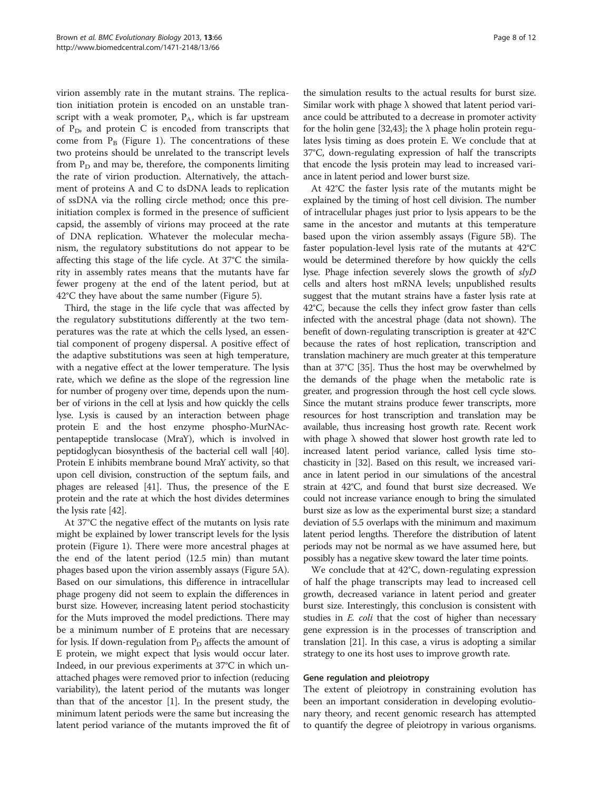virion assembly rate in the mutant strains. The replication initiation protein is encoded on an unstable transcript with a weak promoter,  $P_A$ , which is far upstream of  $P_D$ , and protein C is encoded from transcripts that come from  $P_B$  (Figure [1\)](#page-1-0). The concentrations of these two proteins should be unrelated to the transcript levels from  $P_D$  and may be, therefore, the components limiting the rate of virion production. Alternatively, the attachment of proteins A and C to dsDNA leads to replication of ssDNA via the rolling circle method; once this preinitiation complex is formed in the presence of sufficient capsid, the assembly of virions may proceed at the rate of DNA replication. Whatever the molecular mechanism, the regulatory substitutions do not appear to be affecting this stage of the life cycle. At 37°C the similarity in assembly rates means that the mutants have far fewer progeny at the end of the latent period, but at 42°C they have about the same number (Figure [5\)](#page-4-0).

Third, the stage in the life cycle that was affected by the regulatory substitutions differently at the two temperatures was the rate at which the cells lysed, an essential component of progeny dispersal. A positive effect of the adaptive substitutions was seen at high temperature, with a negative effect at the lower temperature. The lysis rate, which we define as the slope of the regression line for number of progeny over time, depends upon the number of virions in the cell at lysis and how quickly the cells lyse. Lysis is caused by an interaction between phage protein E and the host enzyme phospho-MurNAcpentapeptide translocase (MraY), which is involved in peptidoglycan biosynthesis of the bacterial cell wall [[40](#page-11-0)]. Protein E inhibits membrane bound MraY activity, so that upon cell division, construction of the septum fails, and phages are released [\[41](#page-11-0)]. Thus, the presence of the E protein and the rate at which the host divides determines the lysis rate [\[42\]](#page-11-0).

At 37°C the negative effect of the mutants on lysis rate might be explained by lower transcript levels for the lysis protein (Figure [1](#page-1-0)). There were more ancestral phages at the end of the latent period (12.5 min) than mutant phages based upon the virion assembly assays (Figure [5](#page-4-0)A). Based on our simulations, this difference in intracellular phage progeny did not seem to explain the differences in burst size. However, increasing latent period stochasticity for the Muts improved the model predictions. There may be a minimum number of E proteins that are necessary for lysis. If down-regulation from  $P_D$  affects the amount of E protein, we might expect that lysis would occur later. Indeed, in our previous experiments at 37°C in which unattached phages were removed prior to infection (reducing variability), the latent period of the mutants was longer than that of the ancestor [[1](#page-11-0)]. In the present study, the minimum latent periods were the same but increasing the latent period variance of the mutants improved the fit of

the simulation results to the actual results for burst size. Similar work with phage  $\lambda$  showed that latent period variance could be attributed to a decrease in promoter activity for the holin gene [[32,43\]](#page-11-0); the  $\lambda$  phage holin protein regulates lysis timing as does protein E. We conclude that at 37°C, down-regulating expression of half the transcripts that encode the lysis protein may lead to increased variance in latent period and lower burst size.

At 42°C the faster lysis rate of the mutants might be explained by the timing of host cell division. The number of intracellular phages just prior to lysis appears to be the same in the ancestor and mutants at this temperature based upon the virion assembly assays (Figure [5](#page-4-0)B). The faster population-level lysis rate of the mutants at 42°C would be determined therefore by how quickly the cells lyse. Phage infection severely slows the growth of slyD cells and alters host mRNA levels; unpublished results suggest that the mutant strains have a faster lysis rate at 42°C, because the cells they infect grow faster than cells infected with the ancestral phage (data not shown). The benefit of down-regulating transcription is greater at 42°C because the rates of host replication, transcription and translation machinery are much greater at this temperature than at 37°C [\[35](#page-11-0)]. Thus the host may be overwhelmed by the demands of the phage when the metabolic rate is greater, and progression through the host cell cycle slows. Since the mutant strains produce fewer transcripts, more resources for host transcription and translation may be available, thus increasing host growth rate. Recent work with phage  $\lambda$  showed that slower host growth rate led to increased latent period variance, called lysis time stochasticity in [[32](#page-11-0)]. Based on this result, we increased variance in latent period in our simulations of the ancestral strain at 42°C, and found that burst size decreased. We could not increase variance enough to bring the simulated burst size as low as the experimental burst size; a standard deviation of 5.5 overlaps with the minimum and maximum latent period lengths. Therefore the distribution of latent periods may not be normal as we have assumed here, but possibly has a negative skew toward the later time points.

We conclude that at 42°C, down-regulating expression of half the phage transcripts may lead to increased cell growth, decreased variance in latent period and greater burst size. Interestingly, this conclusion is consistent with studies in *E. coli* that the cost of higher than necessary gene expression is in the processes of transcription and translation [\[21\]](#page-11-0). In this case, a virus is adopting a similar strategy to one its host uses to improve growth rate.

#### Gene regulation and pleiotropy

The extent of pleiotropy in constraining evolution has been an important consideration in developing evolutionary theory, and recent genomic research has attempted to quantify the degree of pleiotropy in various organisms.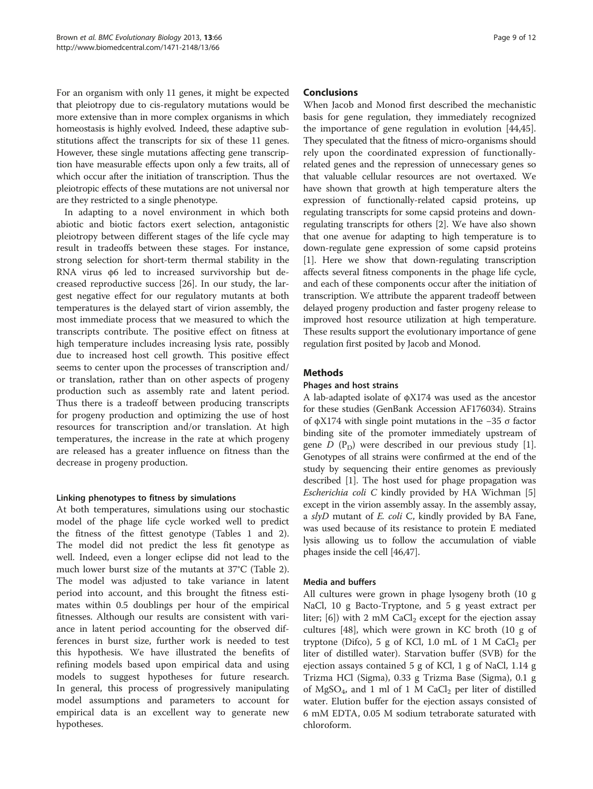<span id="page-8-0"></span>For an organism with only 11 genes, it might be expected that pleiotropy due to cis-regulatory mutations would be more extensive than in more complex organisms in which homeostasis is highly evolved. Indeed, these adaptive substitutions affect the transcripts for six of these 11 genes. However, these single mutations affecting gene transcription have measurable effects upon only a few traits, all of which occur after the initiation of transcription. Thus the pleiotropic effects of these mutations are not universal nor are they restricted to a single phenotype.

In adapting to a novel environment in which both abiotic and biotic factors exert selection, antagonistic pleiotropy between different stages of the life cycle may result in tradeoffs between these stages. For instance, strong selection for short-term thermal stability in the RNA virus φ6 led to increased survivorship but decreased reproductive success [[26\]](#page-11-0). In our study, the largest negative effect for our regulatory mutants at both temperatures is the delayed start of virion assembly, the most immediate process that we measured to which the transcripts contribute. The positive effect on fitness at high temperature includes increasing lysis rate, possibly due to increased host cell growth. This positive effect seems to center upon the processes of transcription and/ or translation, rather than on other aspects of progeny production such as assembly rate and latent period. Thus there is a tradeoff between producing transcripts for progeny production and optimizing the use of host resources for transcription and/or translation. At high temperatures, the increase in the rate at which progeny are released has a greater influence on fitness than the decrease in progeny production.

## Linking phenotypes to fitness by simulations

At both temperatures, simulations using our stochastic model of the phage life cycle worked well to predict the fitness of the fittest genotype (Tables [1](#page-3-0) and [2](#page-5-0)). The model did not predict the less fit genotype as well. Indeed, even a longer eclipse did not lead to the much lower burst size of the mutants at 37°C (Table [2](#page-5-0)). The model was adjusted to take variance in latent period into account, and this brought the fitness estimates within 0.5 doublings per hour of the empirical fitnesses. Although our results are consistent with variance in latent period accounting for the observed differences in burst size, further work is needed to test this hypothesis. We have illustrated the benefits of refining models based upon empirical data and using models to suggest hypotheses for future research. In general, this process of progressively manipulating model assumptions and parameters to account for empirical data is an excellent way to generate new hypotheses.

## **Conclusions**

When Jacob and Monod first described the mechanistic basis for gene regulation, they immediately recognized the importance of gene regulation in evolution [\[44,45](#page-11-0)]. They speculated that the fitness of micro-organisms should rely upon the coordinated expression of functionallyrelated genes and the repression of unnecessary genes so that valuable cellular resources are not overtaxed. We have shown that growth at high temperature alters the expression of functionally-related capsid proteins, up regulating transcripts for some capsid proteins and downregulating transcripts for others [[2](#page-11-0)]. We have also shown that one avenue for adapting to high temperature is to down-regulate gene expression of some capsid proteins [[1\]](#page-11-0). Here we show that down-regulating transcription affects several fitness components in the phage life cycle, and each of these components occur after the initiation of transcription. We attribute the apparent tradeoff between delayed progeny production and faster progeny release to improved host resource utilization at high temperature. These results support the evolutionary importance of gene regulation first posited by Jacob and Monod.

## **Methods**

#### Phages and host strains

A lab-adapted isolate of φX174 was used as the ancestor for these studies (GenBank Accession AF176034). Strains of φX174 with single point mutations in the −35 σ factor binding site of the promoter immediately upstream of gene  $D(P_D)$  were described in our previous study [[1](#page-11-0)]. Genotypes of all strains were confirmed at the end of the study by sequencing their entire genomes as previously described [\[1\]](#page-11-0). The host used for phage propagation was Escherichia coli C kindly provided by HA Wichman [[5](#page-11-0)] except in the virion assembly assay. In the assembly assay, a slyD mutant of E. coli C, kindly provided by BA Fane, was used because of its resistance to protein E mediated lysis allowing us to follow the accumulation of viable phages inside the cell [\[46,47\]](#page-11-0).

#### Media and buffers

All cultures were grown in phage lysogeny broth (10 g NaCl, 10 g Bacto-Tryptone, and 5 g yeast extract per liter; [[6\]](#page-11-0)) with 2 mM  $CaCl<sub>2</sub>$  except for the ejection assay cultures [[48\]](#page-11-0), which were grown in KC broth (10 g of tryptone (Difco), 5 g of KCl, 1.0 mL of 1 M  $CaCl<sub>2</sub>$  per liter of distilled water). Starvation buffer (SVB) for the ejection assays contained 5 g of KCl, 1 g of NaCl, 1.14 g Trizma HCl (Sigma), 0.33 g Trizma Base (Sigma), 0.1 g of MgSO<sub>4</sub>, and 1 ml of 1 M CaCl<sub>2</sub> per liter of distilled water. Elution buffer for the ejection assays consisted of 6 mM EDTA, 0.05 M sodium tetraborate saturated with chloroform.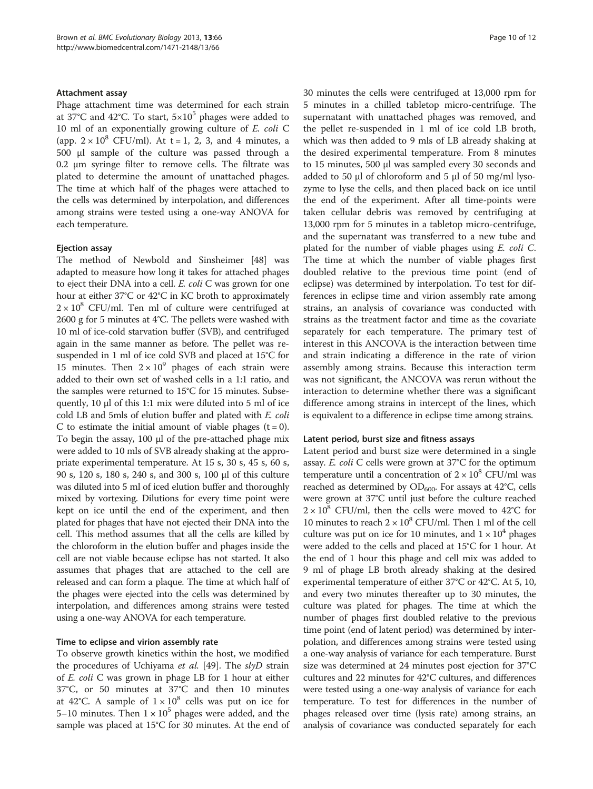#### Attachment assay

Phage attachment time was determined for each strain at 37°C and 42°C. To start,  $5 \times 10^5$  phages were added to 10 ml of an exponentially growing culture of E. coli C (app.  $2 \times 10^8$  CFU/ml). At t = 1, 2, 3, and 4 minutes, a 500 μl sample of the culture was passed through a 0.2 μm syringe filter to remove cells. The filtrate was plated to determine the amount of unattached phages. The time at which half of the phages were attached to the cells was determined by interpolation, and differences among strains were tested using a one-way ANOVA for each temperature.

#### Ejection assay

The method of Newbold and Sinsheimer [\[48](#page-11-0)] was adapted to measure how long it takes for attached phages to eject their DNA into a cell. E. coli C was grown for one hour at either 37°C or 42°C in KC broth to approximately  $2 \times 10^8$  CFU/ml. Ten ml of culture were centrifuged at 2600 g for 5 minutes at 4°C. The pellets were washed with 10 ml of ice-cold starvation buffer (SVB), and centrifuged again in the same manner as before. The pellet was resuspended in 1 ml of ice cold SVB and placed at 15°C for 15 minutes. Then  $2 \times 10^9$  phages of each strain were added to their own set of washed cells in a 1:1 ratio, and the samples were returned to 15°C for 15 minutes. Subsequently, 10 μl of this 1:1 mix were diluted into 5 ml of ice cold LB and 5mls of elution buffer and plated with E. coli C to estimate the initial amount of viable phages  $(t = 0)$ . To begin the assay, 100 μl of the pre-attached phage mix were added to 10 mls of SVB already shaking at the appropriate experimental temperature. At 15 s, 30 s, 45 s, 60 s, 90 s, 120 s, 180 s, 240 s, and 300 s, 100 μl of this culture was diluted into 5 ml of iced elution buffer and thoroughly mixed by vortexing. Dilutions for every time point were kept on ice until the end of the experiment, and then plated for phages that have not ejected their DNA into the cell. This method assumes that all the cells are killed by the chloroform in the elution buffer and phages inside the cell are not viable because eclipse has not started. It also assumes that phages that are attached to the cell are released and can form a plaque. The time at which half of the phages were ejected into the cells was determined by interpolation, and differences among strains were tested using a one-way ANOVA for each temperature.

#### Time to eclipse and virion assembly rate

To observe growth kinetics within the host, we modified the procedures of Uchiyama et al. [\[49\]](#page-11-0). The slyD strain of E. coli C was grown in phage LB for 1 hour at either 37°C, or 50 minutes at 37°C and then 10 minutes at 42°C. A sample of  $1 \times 10^8$  cells was put on ice for 5–10 minutes. Then  $1 \times 10^5$  phages were added, and the sample was placed at 15°C for 30 minutes. At the end of 30 minutes the cells were centrifuged at 13,000 rpm for 5 minutes in a chilled tabletop micro-centrifuge. The supernatant with unattached phages was removed, and the pellet re-suspended in 1 ml of ice cold LB broth, which was then added to 9 mls of LB already shaking at the desired experimental temperature. From 8 minutes to 15 minutes, 500 μl was sampled every 30 seconds and added to 50  $\mu$ l of chloroform and 5  $\mu$ l of 50 mg/ml lysozyme to lyse the cells, and then placed back on ice until the end of the experiment. After all time-points were taken cellular debris was removed by centrifuging at 13,000 rpm for 5 minutes in a tabletop micro-centrifuge, and the supernatant was transferred to a new tube and plated for the number of viable phages using E. coli C. The time at which the number of viable phages first doubled relative to the previous time point (end of eclipse) was determined by interpolation. To test for differences in eclipse time and virion assembly rate among strains, an analysis of covariance was conducted with strains as the treatment factor and time as the covariate separately for each temperature. The primary test of interest in this ANCOVA is the interaction between time and strain indicating a difference in the rate of virion assembly among strains. Because this interaction term was not significant, the ANCOVA was rerun without the interaction to determine whether there was a significant difference among strains in intercept of the lines, which is equivalent to a difference in eclipse time among strains.

#### Latent period, burst size and fitness assays

Latent period and burst size were determined in a single assay. E. coli C cells were grown at 37°C for the optimum temperature until a concentration of  $2 \times 10^8$  CFU/ml was reached as determined by  $OD_{600}$ . For assays at 42°C, cells were grown at 37°C until just before the culture reached  $2 \times 10^8$  CFU/ml, then the cells were moved to 42°C for 10 minutes to reach  $2 \times 10^8$  CFU/ml. Then 1 ml of the cell culture was put on ice for 10 minutes, and  $1 \times 10^4$  phages were added to the cells and placed at 15°C for 1 hour. At the end of 1 hour this phage and cell mix was added to 9 ml of phage LB broth already shaking at the desired experimental temperature of either 37°C or 42°C. At 5, 10, and every two minutes thereafter up to 30 minutes, the culture was plated for phages. The time at which the number of phages first doubled relative to the previous time point (end of latent period) was determined by interpolation, and differences among strains were tested using a one-way analysis of variance for each temperature. Burst size was determined at 24 minutes post ejection for 37°C cultures and 22 minutes for 42°C cultures, and differences were tested using a one-way analysis of variance for each temperature. To test for differences in the number of phages released over time (lysis rate) among strains, an analysis of covariance was conducted separately for each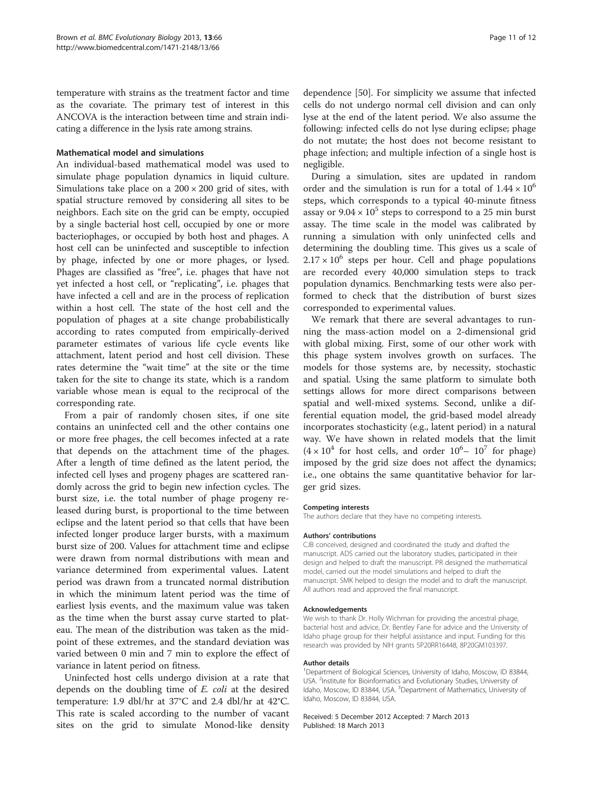temperature with strains as the treatment factor and time as the covariate. The primary test of interest in this ANCOVA is the interaction between time and strain indicating a difference in the lysis rate among strains.

#### Mathematical model and simulations

An individual-based mathematical model was used to simulate phage population dynamics in liquid culture. Simulations take place on a  $200 \times 200$  grid of sites, with spatial structure removed by considering all sites to be neighbors. Each site on the grid can be empty, occupied by a single bacterial host cell, occupied by one or more bacteriophages, or occupied by both host and phages. A host cell can be uninfected and susceptible to infection by phage, infected by one or more phages, or lysed. Phages are classified as "free", i.e. phages that have not yet infected a host cell, or "replicating", i.e. phages that have infected a cell and are in the process of replication within a host cell. The state of the host cell and the population of phages at a site change probabilistically according to rates computed from empirically-derived parameter estimates of various life cycle events like attachment, latent period and host cell division. These rates determine the "wait time" at the site or the time taken for the site to change its state, which is a random variable whose mean is equal to the reciprocal of the corresponding rate.

From a pair of randomly chosen sites, if one site contains an uninfected cell and the other contains one or more free phages, the cell becomes infected at a rate that depends on the attachment time of the phages. After a length of time defined as the latent period, the infected cell lyses and progeny phages are scattered randomly across the grid to begin new infection cycles. The burst size, i.e. the total number of phage progeny released during burst, is proportional to the time between eclipse and the latent period so that cells that have been infected longer produce larger bursts, with a maximum burst size of 200. Values for attachment time and eclipse were drawn from normal distributions with mean and variance determined from experimental values. Latent period was drawn from a truncated normal distribution in which the minimum latent period was the time of earliest lysis events, and the maximum value was taken as the time when the burst assay curve started to plateau. The mean of the distribution was taken as the midpoint of these extremes, and the standard deviation was varied between 0 min and 7 min to explore the effect of variance in latent period on fitness.

Uninfected host cells undergo division at a rate that depends on the doubling time of E. coli at the desired temperature: 1.9 dbl/hr at 37°C and 2.4 dbl/hr at 42°C. This rate is scaled according to the number of vacant sites on the grid to simulate Monod-like density

dependence [[50\]](#page-11-0). For simplicity we assume that infected cells do not undergo normal cell division and can only lyse at the end of the latent period. We also assume the following: infected cells do not lyse during eclipse; phage do not mutate; the host does not become resistant to phage infection; and multiple infection of a single host is negligible.

During a simulation, sites are updated in random order and the simulation is run for a total of  $1.44 \times 10^6$ steps, which corresponds to a typical 40-minute fitness assay or  $9.04 \times 10^5$  steps to correspond to a 25 min burst assay. The time scale in the model was calibrated by running a simulation with only uninfected cells and determining the doubling time. This gives us a scale of  $2.17 \times 10^6$  steps per hour. Cell and phage populations are recorded every 40,000 simulation steps to track population dynamics. Benchmarking tests were also performed to check that the distribution of burst sizes corresponded to experimental values.

We remark that there are several advantages to running the mass-action model on a 2-dimensional grid with global mixing. First, some of our other work with this phage system involves growth on surfaces. The models for those systems are, by necessity, stochastic and spatial. Using the same platform to simulate both settings allows for more direct comparisons between spatial and well-mixed systems. Second, unlike a differential equation model, the grid-based model already incorporates stochasticity (e.g., latent period) in a natural way. We have shown in related models that the limit  $(4 \times 10^4$  for host cells, and order  $10^6 - 10^7$  for phage) imposed by the grid size does not affect the dynamics; i.e., one obtains the same quantitative behavior for larger grid sizes.

#### Competing interests

The authors declare that they have no competing interests.

#### Authors' contributions

CJB conceived, designed and coordinated the study and drafted the manuscript. ADS carried out the laboratory studies, participated in their design and helped to draft the manuscript. PR designed the mathematical model, carried out the model simulations and helped to draft the manuscript. SMK helped to design the model and to draft the manuscript. All authors read and approved the final manuscript.

#### Acknowledgements

We wish to thank Dr. Holly Wichman for providing the ancestral phage, bacterial host and advice, Dr. Bentley Fane for advice and the University of Idaho phage group for their helpful assistance and input. Funding for this research was provided by NIH grants 5P20RR16448, 8P20GM103397.

#### Author details

<sup>1</sup>Department of Biological Sciences, University of Idaho, Moscow, ID 83844 USA. <sup>2</sup>Institute for Bioinformatics and Evolutionary Studies, University of Idaho, Moscow, ID 83844, USA. <sup>3</sup> Department of Mathematics, University of Idaho, Moscow, ID 83844, USA.

#### Received: 5 December 2012 Accepted: 7 March 2013 Published: 18 March 2013